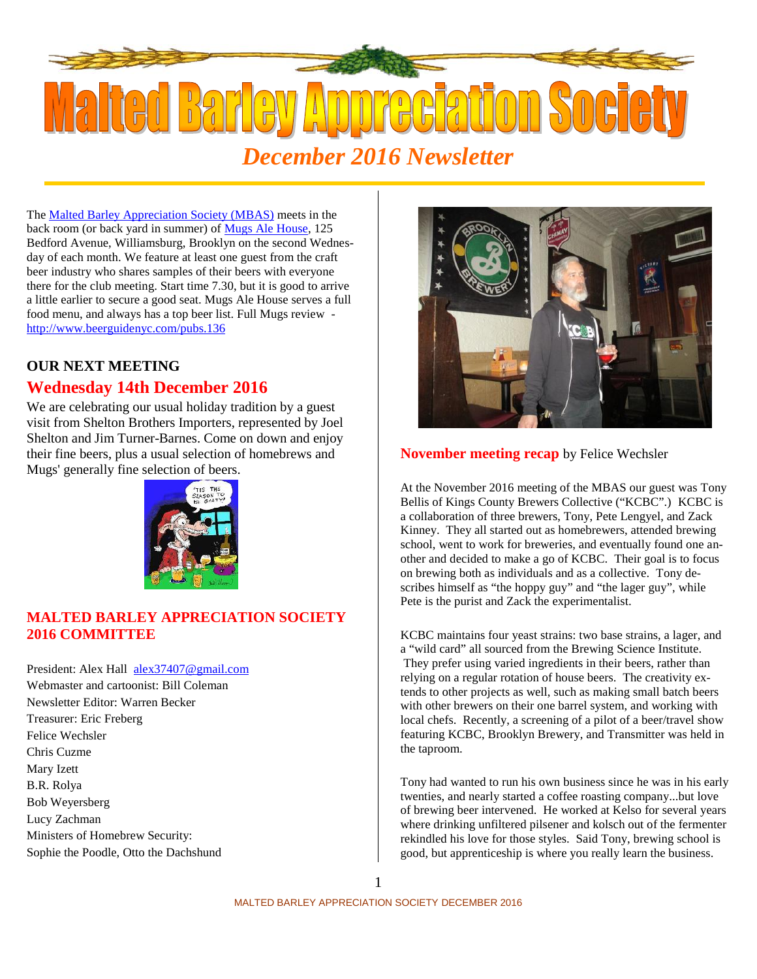

The Malted Barley Appreciation Society (MBAS) meets in the back room (or back yard in summer) of Mugs Ale House, 125 Bedford Avenue, Williamsburg, Brooklyn on the second Wednesday of each month. We feature at least one guest from the craft beer industry who shares samples of their beers with everyone there for the club meeting. Start time 7.30, but it is good to arrive a little earlier to secure a good seat. Mugs Ale House serves a full food menu, and always has a top beer list. Full Mugs review http://www.beerguidenyc.com/pubs.136

# **OUR NEXT MEETING Wednesday 14th December 2016**

We are celebrating our usual holiday tradition by a guest visit from Shelton Brothers Importers, represented by Joel Shelton and Jim Turner-Barnes. Come on down and enjoy their fine beers, plus a usual selection of homebrews and Mugs' generally fine selection of beers.



## **MALTED BARLEY APPRECIATION SOCIETY 2016 COMMITTEE**

President: Alex Hall alex37407@gmail.com Webmaster and cartoonist: Bill Coleman Newsletter Editor: Warren Becker Treasurer: Eric Freberg Felice Wechsler Chris Cuzme Mary Izett B.R. Rolya Bob Weyersberg Lucy Zachman Ministers of Homebrew Security:

Sophie the Poodle, Otto the Dachshund



## **November meeting recap** by Felice Wechsler

At the November 2016 meeting of the MBAS our guest was Tony Bellis of Kings County Brewers Collective ("KCBC".) KCBC is a collaboration of three brewers, Tony, Pete Lengyel, and Zack Kinney. They all started out as homebrewers, attended brewing school, went to work for breweries, and eventually found one another and decided to make a go of KCBC. Their goal is to focus on brewing both as individuals and as a collective. Tony describes himself as "the hoppy guy" and "the lager guy", while Pete is the purist and Zack the experimentalist.

KCBC maintains four yeast strains: two base strains, a lager, and a "wild card" all sourced from the Brewing Science Institute. They prefer using varied ingredients in their beers, rather than relying on a regular rotation of house beers. The creativity extends to other projects as well, such as making small batch beers with other brewers on their one barrel system, and working with local chefs. Recently, a screening of a pilot of a beer/travel show featuring KCBC, Brooklyn Brewery, and Transmitter was held in the taproom.

Tony had wanted to run his own business since he was in his early twenties, and nearly started a coffee roasting company...but love of brewing beer intervened. He worked at Kelso for several years where drinking unfiltered pilsener and kolsch out of the fermenter rekindled his love for those styles. Said Tony, brewing school is good, but apprenticeship is where you really learn the business.